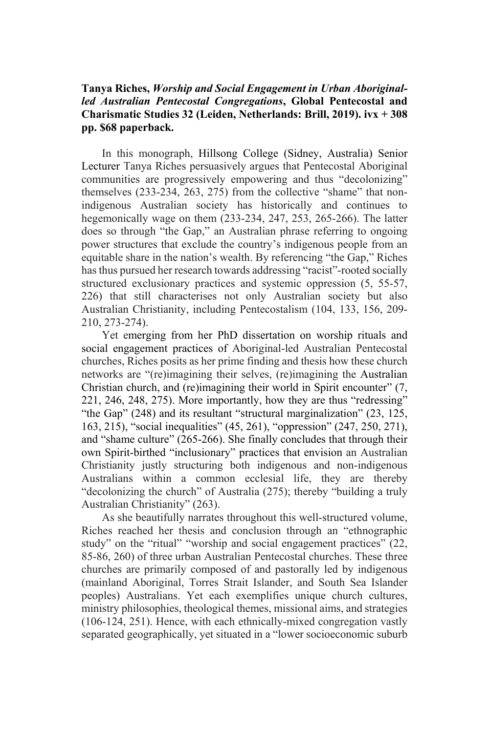## **Tanya Riches,** *Worship and Social Engagement in Urban Aboriginalled Australian Pentecostal Congregations***, Global Pentecostal and Charismatic Studies 32 (Leiden, Netherlands: Brill, 2019). ivx + 308 pp. \$68 paperback.**

In this monograph, Hillsong College (Sidney, Australia) Senior Lecturer Tanya Riches persuasively argues that Pentecostal Aboriginal communities are progressively empowering and thus "decolonizing" themselves (233-234, 263, 275) from the collective "shame" that nonindigenous Australian society has historically and continues to hegemonically wage on them (233-234, 247, 253, 265-266). The latter does so through "the Gap," an Australian phrase referring to ongoing power structures that exclude the country's indigenous people from an equitable share in the nation's wealth. By referencing "the Gap," Riches has thus pursued her research towards addressing "racist"-rooted socially structured exclusionary practices and systemic oppression (5, 55-57, 226) that still characterises not only Australian society but also Australian Christianity, including Pentecostalism (104, 133, 156, 209- 210, 273-274).

Yet emerging from her PhD dissertation on worship rituals and social engagement practices of Aboriginal-led Australian Pentecostal churches, Riches posits as her prime finding and thesis how these church networks are "(re)imagining their selves, (re)imagining the Australian Christian church, and (re)imagining their world in Spirit encounter" (7, 221, 246, 248, 275). More importantly, how they are thus "redressing" "the Gap" (248) and its resultant "structural marginalization" (23, 125, 163, 215), "social inequalities" (45, 261), "oppression" (247, 250, 271), and "shame culture" (265-266). She finally concludes that through their own Spirit-birthed "inclusionary" practices that envision an Australian Christianity justly structuring both indigenous and non-indigenous Australians within a common ecclesial life, they are thereby "decolonizing the church" of Australia (275); thereby "building a truly Australian Christianity" (263).

As she beautifully narrates throughout this well-structured volume, Riches reached her thesis and conclusion through an "ethnographic study" on the "ritual" "worship and social engagement practices" (22, 85-86, 260) of three urban Australian Pentecostal churches. These three churches are primarily composed of and pastorally led by indigenous (mainland Aboriginal, Torres Strait Islander, and South Sea Islander peoples) Australians. Yet each exemplifies unique church cultures, ministry philosophies, theological themes, missional aims, and strategies (106-124, 251). Hence, with each ethnically-mixed congregation vastly separated geographically, yet situated in a "lower socioeconomic suburb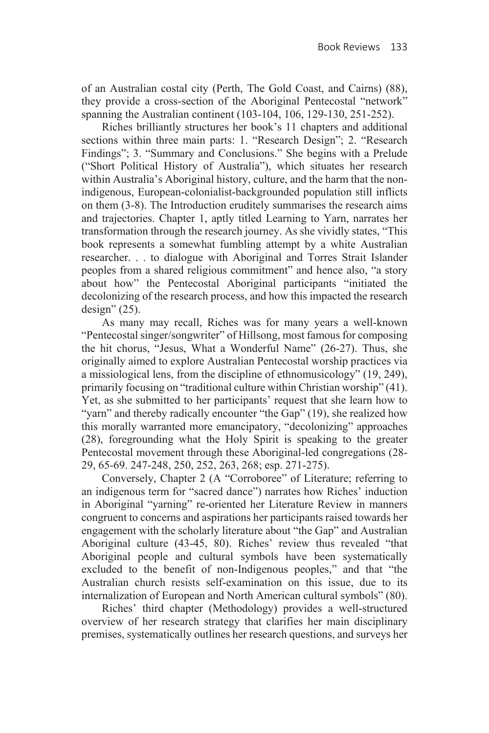of an Australian costal city (Perth, The Gold Coast, and Cairns) (88), they provide a cross-section of the Aboriginal Pentecostal "network" spanning the Australian continent (103-104, 106, 129-130, 251-252).

Riches brilliantly structures her book's 11 chapters and additional sections within three main parts: 1. "Research Design"; 2. "Research Findings"; 3. "Summary and Conclusions." She begins with a Prelude ("Short Political History of Australia"), which situates her research within Australia's Aboriginal history, culture, and the harm that the nonindigenous, European-colonialist-backgrounded population still inflicts on them (3-8). The Introduction eruditely summarises the research aims and trajectories. Chapter 1, aptly titled Learning to Yarn, narrates her transformation through the research journey. As she vividly states, "This book represents a somewhat fumbling attempt by a white Australian researcher. . . to dialogue with Aboriginal and Torres Strait Islander peoples from a shared religious commitment" and hence also, "a story about how" the Pentecostal Aboriginal participants "initiated the decolonizing of the research process, and how this impacted the research design"  $(25)$ .

As many may recall, Riches was for many years a well-known "Pentecostal singer/songwriter" of Hillsong, most famous for composing the hit chorus, "Jesus, What a Wonderful Name" (26-27). Thus, she originally aimed to explore Australian Pentecostal worship practices via a missiological lens, from the discipline of ethnomusicology" (19, 249), primarily focusing on "traditional culture within Christian worship" (41). Yet, as she submitted to her participants' request that she learn how to "yarn" and thereby radically encounter "the Gap" (19), she realized how this morally warranted more emancipatory, "decolonizing" approaches (28), foregrounding what the Holy Spirit is speaking to the greater Pentecostal movement through these Aboriginal-led congregations (28- 29, 65-69. 247-248, 250, 252, 263, 268; esp. 271-275).

Conversely, Chapter 2 (A "Corroboree" of Literature; referring to an indigenous term for "sacred dance") narrates how Riches' induction in Aboriginal "yarning" re-oriented her Literature Review in manners congruent to concerns and aspirations her participants raised towards her engagement with the scholarly literature about "the Gap" and Australian Aboriginal culture (43-45, 80). Riches' review thus revealed "that Aboriginal people and cultural symbols have been systematically excluded to the benefit of non-Indigenous peoples," and that "the Australian church resists self-examination on this issue, due to its internalization of European and North American cultural symbols" (80).

Riches' third chapter (Methodology) provides a well-structured overview of her research strategy that clarifies her main disciplinary premises, systematically outlines her research questions, and surveys her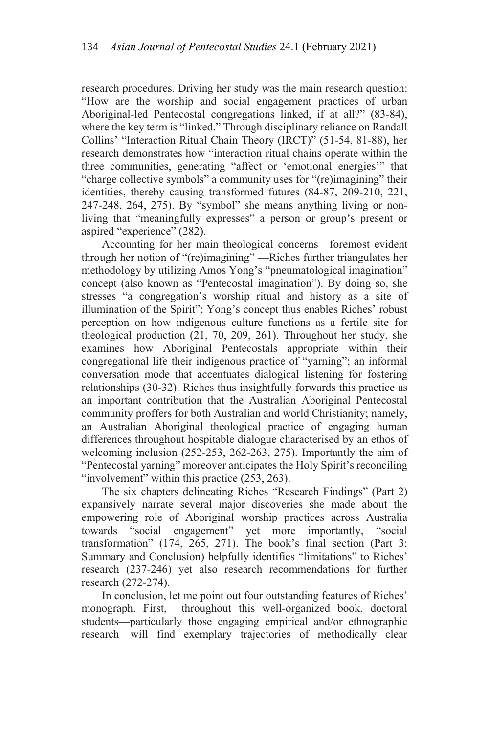research procedures. Driving her study was the main research question: "How are the worship and social engagement practices of urban Aboriginal-led Pentecostal congregations linked, if at all?" (83-84), where the key term is "linked." Through disciplinary reliance on Randall Collins' "Interaction Ritual Chain Theory (IRCT)" (51-54, 81-88), her research demonstrates how "interaction ritual chains operate within the three communities, generating "affect or 'emotional energies'" that "charge collective symbols" a community uses for "(re)imagining" their identities, thereby causing transformed futures (84-87, 209-210, 221, 247-248, 264, 275). By "symbol" she means anything living or nonliving that "meaningfully expresses" a person or group's present or aspired "experience" (282).

Accounting for her main theological concerns—foremost evident through her notion of "(re)imagining" —Riches further triangulates her methodology by utilizing Amos Yong's "pneumatological imagination" concept (also known as "Pentecostal imagination"). By doing so, she stresses "a congregation's worship ritual and history as a site of illumination of the Spirit"; Yong's concept thus enables Riches' robust perception on how indigenous culture functions as a fertile site for theological production (21, 70, 209, 261). Throughout her study, she examines how Aboriginal Pentecostals appropriate within their congregational life their indigenous practice of "yarning"; an informal conversation mode that accentuates dialogical listening for fostering relationships (30-32). Riches thus insightfully forwards this practice as an important contribution that the Australian Aboriginal Pentecostal community proffers for both Australian and world Christianity; namely, an Australian Aboriginal theological practice of engaging human differences throughout hospitable dialogue characterised by an ethos of welcoming inclusion (252-253, 262-263, 275). Importantly the aim of "Pentecostal yarning" moreover anticipates the Holy Spirit's reconciling "involvement" within this practice (253, 263).

The six chapters delineating Riches "Research Findings" (Part 2) expansively narrate several major discoveries she made about the empowering role of Aboriginal worship practices across Australia towards "social engagement" yet more importantly, "social transformation" (174, 265, 271). The book's final section (Part 3: Summary and Conclusion) helpfully identifies "limitations" to Riches' research (237-246) yet also research recommendations for further research (272-274).

In conclusion, let me point out four outstanding features of Riches' monograph. First, throughout this well-organized book, doctoral students—particularly those engaging empirical and/or ethnographic research—will find exemplary trajectories of methodically clear